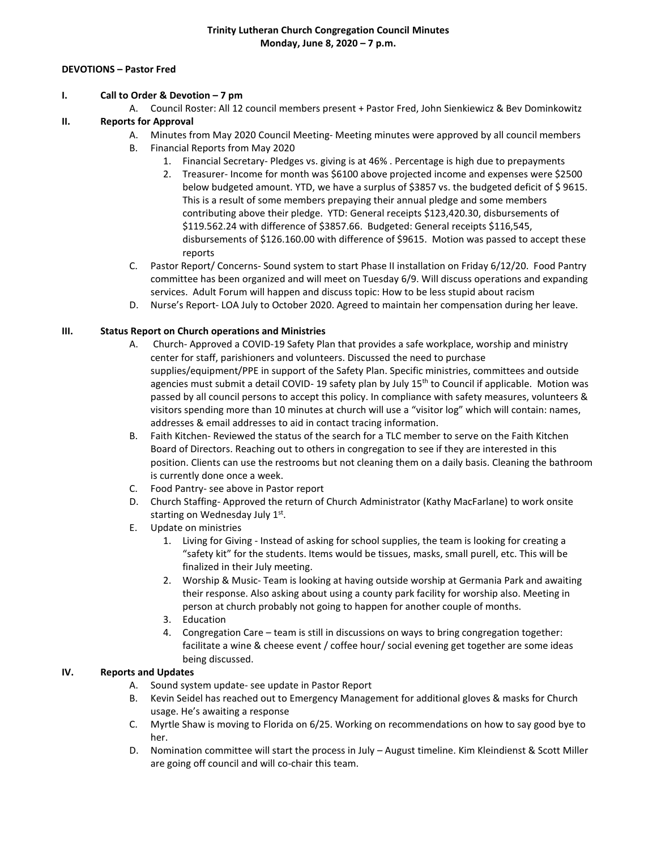#### **DEVOTIONS – Pastor Fred**

#### **I. Call to Order & Devotion – 7 pm**

A. Council Roster: All 12 council members present + Pastor Fred, John Sienkiewicz & Bev Dominkowitz

## **II. Reports for Approval**

- A. Minutes from May 2020 Council Meeting- Meeting minutes were approved by all council members
- B. Financial Reports from May 2020
	- 1. Financial Secretary- Pledges vs. giving is at 46% . Percentage is high due to prepayments
	- 2. Treasurer- Income for month was \$6100 above projected income and expenses were \$2500 below budgeted amount. YTD, we have a surplus of \$3857 vs. the budgeted deficit of \$9615. This is a result of some members prepaying their annual pledge and some members contributing above their pledge. YTD: General receipts \$123,420.30, disbursements of \$119.562.24 with difference of \$3857.66. Budgeted: General receipts \$116,545, disbursements of \$126.160.00 with difference of \$9615. Motion was passed to accept these reports
- C. Pastor Report/ Concerns- Sound system to start Phase II installation on Friday 6/12/20. Food Pantry committee has been organized and will meet on Tuesday 6/9. Will discuss operations and expanding services. Adult Forum will happen and discuss topic: How to be less stupid about racism
- D. Nurse's Report- LOA July to October 2020. Agreed to maintain her compensation during her leave.

## **III. Status Report on Church operations and Ministries**

- A. Church- Approved a COVID-19 Safety Plan that provides a safe workplace, worship and ministry center for staff, parishioners and volunteers. Discussed the need to purchase supplies/equipment/PPE in support of the Safety Plan. Specific ministries, committees and outside agencies must submit a detail COVID- 19 safety plan by July 15<sup>th</sup> to Council if applicable. Motion was passed by all council persons to accept this policy. In compliance with safety measures, volunteers & visitors spending more than 10 minutes at church will use a "visitor log" which will contain: names, addresses & email addresses to aid in contact tracing information.
- B. Faith Kitchen- Reviewed the status of the search for a TLC member to serve on the Faith Kitchen Board of Directors. Reaching out to others in congregation to see if they are interested in this position. Clients can use the restrooms but not cleaning them on a daily basis. Cleaning the bathroom is currently done once a week.
- C. Food Pantry- see above in Pastor report
- D. Church Staffing- Approved the return of Church Administrator (Kathy MacFarlane) to work onsite starting on Wednesday July 1st.
- E. Update on ministries
	- 1. Living for Giving Instead of asking for school supplies, the team is looking for creating a "safety kit" for the students. Items would be tissues, masks, small purell, etc. This will be finalized in their July meeting.
	- 2. Worship & Music- Team is looking at having outside worship at Germania Park and awaiting their response. Also asking about using a county park facility for worship also. Meeting in person at church probably not going to happen for another couple of months.
	- 3. Education
	- 4. Congregation Care team is still in discussions on ways to bring congregation together: facilitate a wine & cheese event / coffee hour/ social evening get together are some ideas being discussed.

## **IV. Reports and Updates**

- A. Sound system update- see update in Pastor Report
- B. Kevin Seidel has reached out to Emergency Management for additional gloves & masks for Church usage. He's awaiting a response
- C. Myrtle Shaw is moving to Florida on 6/25. Working on recommendations on how to say good bye to her.
- D. Nomination committee will start the process in July August timeline. Kim Kleindienst & Scott Miller are going off council and will co-chair this team.